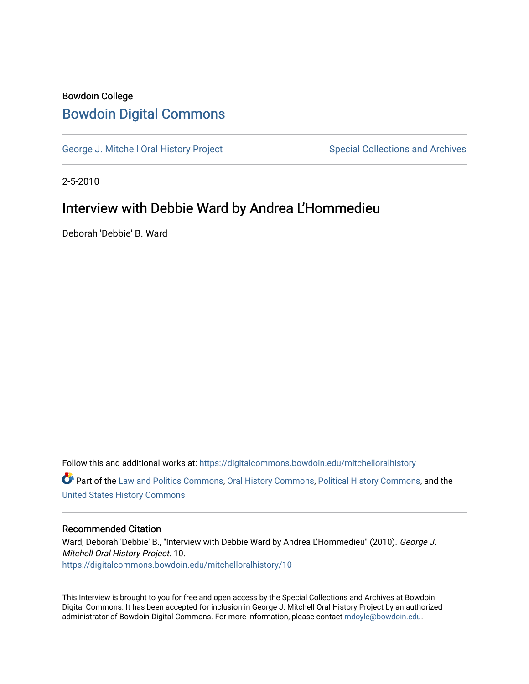# Bowdoin College [Bowdoin Digital Commons](https://digitalcommons.bowdoin.edu/)

[George J. Mitchell Oral History Project](https://digitalcommons.bowdoin.edu/mitchelloralhistory) Special Collections and Archives

2-5-2010

## Interview with Debbie Ward by Andrea L'Hommedieu

Deborah 'Debbie' B. Ward

Follow this and additional works at: [https://digitalcommons.bowdoin.edu/mitchelloralhistory](https://digitalcommons.bowdoin.edu/mitchelloralhistory?utm_source=digitalcommons.bowdoin.edu%2Fmitchelloralhistory%2F10&utm_medium=PDF&utm_campaign=PDFCoverPages)  Part of the [Law and Politics Commons,](http://network.bepress.com/hgg/discipline/867?utm_source=digitalcommons.bowdoin.edu%2Fmitchelloralhistory%2F10&utm_medium=PDF&utm_campaign=PDFCoverPages) [Oral History Commons,](http://network.bepress.com/hgg/discipline/1195?utm_source=digitalcommons.bowdoin.edu%2Fmitchelloralhistory%2F10&utm_medium=PDF&utm_campaign=PDFCoverPages) [Political History Commons,](http://network.bepress.com/hgg/discipline/505?utm_source=digitalcommons.bowdoin.edu%2Fmitchelloralhistory%2F10&utm_medium=PDF&utm_campaign=PDFCoverPages) and the [United States History Commons](http://network.bepress.com/hgg/discipline/495?utm_source=digitalcommons.bowdoin.edu%2Fmitchelloralhistory%2F10&utm_medium=PDF&utm_campaign=PDFCoverPages)

#### Recommended Citation

Ward, Deborah 'Debbie' B., "Interview with Debbie Ward by Andrea L'Hommedieu" (2010). George J. Mitchell Oral History Project. 10. [https://digitalcommons.bowdoin.edu/mitchelloralhistory/10](https://digitalcommons.bowdoin.edu/mitchelloralhistory/10?utm_source=digitalcommons.bowdoin.edu%2Fmitchelloralhistory%2F10&utm_medium=PDF&utm_campaign=PDFCoverPages)

This Interview is brought to you for free and open access by the Special Collections and Archives at Bowdoin Digital Commons. It has been accepted for inclusion in George J. Mitchell Oral History Project by an authorized administrator of Bowdoin Digital Commons. For more information, please contact [mdoyle@bowdoin.edu.](mailto:mdoyle@bowdoin.edu)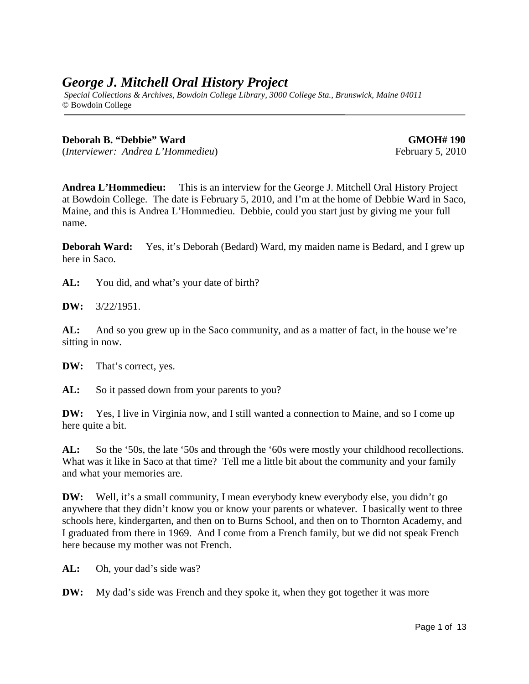## *George J. Mitchell Oral History Project*

*Special Collections & Archives, Bowdoin College Library, 3000 College Sta., Brunswick, Maine 04011* © Bowdoin College

### **Deborah B. "Debbie" Ward GMOH# 190**

(*Interviewer: Andrea L'Hommedieu*) February 5, 2010

**Andrea L'Hommedieu:** This is an interview for the George J. Mitchell Oral History Project at Bowdoin College. The date is February 5, 2010, and I'm at the home of Debbie Ward in Saco, Maine, and this is Andrea L'Hommedieu. Debbie, could you start just by giving me your full name.

**Deborah Ward:** Yes, it's Deborah (Bedard) Ward, my maiden name is Bedard, and I grew up here in Saco.

AL: You did, and what's your date of birth?

**DW:** 3/22/1951.

**AL:** And so you grew up in the Saco community, and as a matter of fact, in the house we're sitting in now.

**DW:** That's correct, yes.

AL: So it passed down from your parents to you?

**DW:** Yes, I live in Virginia now, and I still wanted a connection to Maine, and so I come up here quite a bit.

AL: So the '50s, the late '50s and through the '60s were mostly your childhood recollections. What was it like in Saco at that time? Tell me a little bit about the community and your family and what your memories are.

**DW:** Well, it's a small community, I mean everybody knew everybody else, you didn't go anywhere that they didn't know you or know your parents or whatever. I basically went to three schools here, kindergarten, and then on to Burns School, and then on to Thornton Academy, and I graduated from there in 1969. And I come from a French family, but we did not speak French here because my mother was not French.

**AL:** Oh, your dad's side was?

**DW:** My dad's side was French and they spoke it, when they got together it was more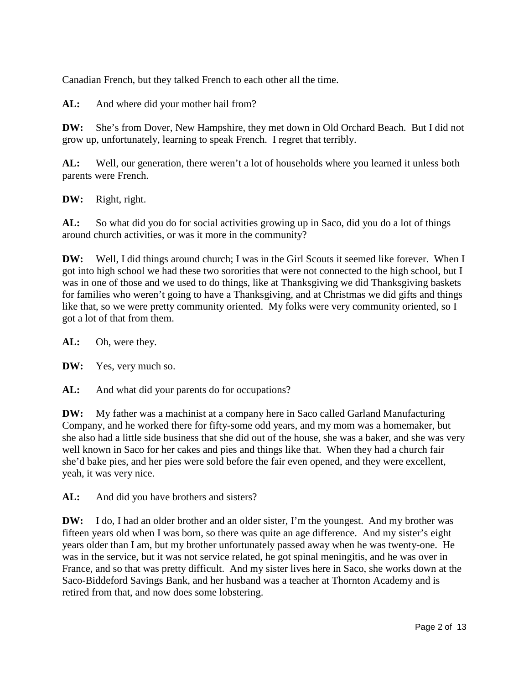Canadian French, but they talked French to each other all the time.

AL: And where did your mother hail from?

**DW:** She's from Dover, New Hampshire, they met down in Old Orchard Beach. But I did not grow up, unfortunately, learning to speak French. I regret that terribly.

**AL:** Well, our generation, there weren't a lot of households where you learned it unless both parents were French.

**DW:** Right, right.

AL: So what did you do for social activities growing up in Saco, did you do a lot of things around church activities, or was it more in the community?

**DW:** Well, I did things around church; I was in the Girl Scouts it seemed like forever. When I got into high school we had these two sororities that were not connected to the high school, but I was in one of those and we used to do things, like at Thanksgiving we did Thanksgiving baskets for families who weren't going to have a Thanksgiving, and at Christmas we did gifts and things like that, so we were pretty community oriented. My folks were very community oriented, so I got a lot of that from them.

**AL:** Oh, were they.

**DW:** Yes, very much so.

AL: And what did your parents do for occupations?

**DW:** My father was a machinist at a company here in Saco called Garland Manufacturing Company, and he worked there for fifty-some odd years, and my mom was a homemaker, but she also had a little side business that she did out of the house, she was a baker, and she was very well known in Saco for her cakes and pies and things like that. When they had a church fair she'd bake pies, and her pies were sold before the fair even opened, and they were excellent, yeah, it was very nice.

AL: And did you have brothers and sisters?

**DW:** I do, I had an older brother and an older sister, I'm the youngest. And my brother was fifteen years old when I was born, so there was quite an age difference. And my sister's eight years older than I am, but my brother unfortunately passed away when he was twenty-one. He was in the service, but it was not service related, he got spinal meningitis, and he was over in France, and so that was pretty difficult. And my sister lives here in Saco, she works down at the Saco-Biddeford Savings Bank, and her husband was a teacher at Thornton Academy and is retired from that, and now does some lobstering.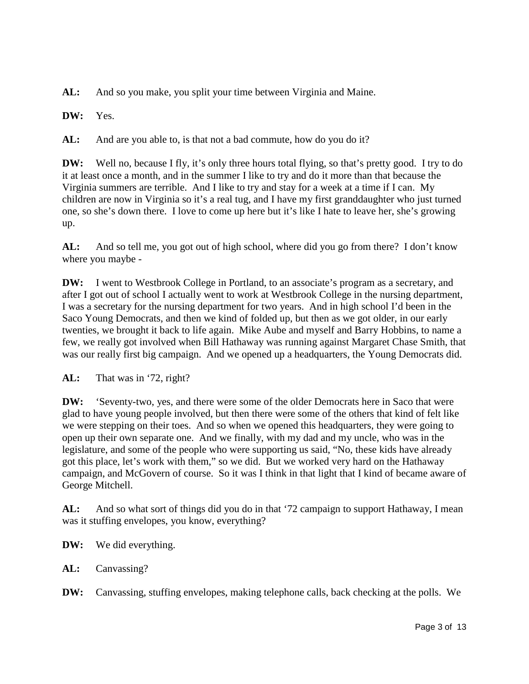**AL:** And so you make, you split your time between Virginia and Maine.

**DW:** Yes.

AL: And are you able to, is that not a bad commute, how do you do it?

**DW:** Well no, because I fly, it's only three hours total flying, so that's pretty good. I try to do it at least once a month, and in the summer I like to try and do it more than that because the Virginia summers are terrible. And I like to try and stay for a week at a time if I can. My children are now in Virginia so it's a real tug, and I have my first granddaughter who just turned one, so she's down there. I love to come up here but it's like I hate to leave her, she's growing up.

**AL:** And so tell me, you got out of high school, where did you go from there? I don't know where you maybe -

**DW:** I went to Westbrook College in Portland, to an associate's program as a secretary, and after I got out of school I actually went to work at Westbrook College in the nursing department, I was a secretary for the nursing department for two years. And in high school I'd been in the Saco Young Democrats, and then we kind of folded up, but then as we got older, in our early twenties, we brought it back to life again. Mike Aube and myself and Barry Hobbins, to name a few, we really got involved when Bill Hathaway was running against Margaret Chase Smith, that was our really first big campaign. And we opened up a headquarters, the Young Democrats did.

**AL:** That was in '72, right?

**DW:** 'Seventy-two, yes, and there were some of the older Democrats here in Saco that were glad to have young people involved, but then there were some of the others that kind of felt like we were stepping on their toes. And so when we opened this headquarters, they were going to open up their own separate one. And we finally, with my dad and my uncle, who was in the legislature, and some of the people who were supporting us said, "No, these kids have already got this place, let's work with them," so we did. But we worked very hard on the Hathaway campaign, and McGovern of course. So it was I think in that light that I kind of became aware of George Mitchell.

**AL:** And so what sort of things did you do in that '72 campaign to support Hathaway, I mean was it stuffing envelopes, you know, everything?

**DW:** We did everything.

**AL:** Canvassing?

**DW:** Canvassing, stuffing envelopes, making telephone calls, back checking at the polls. We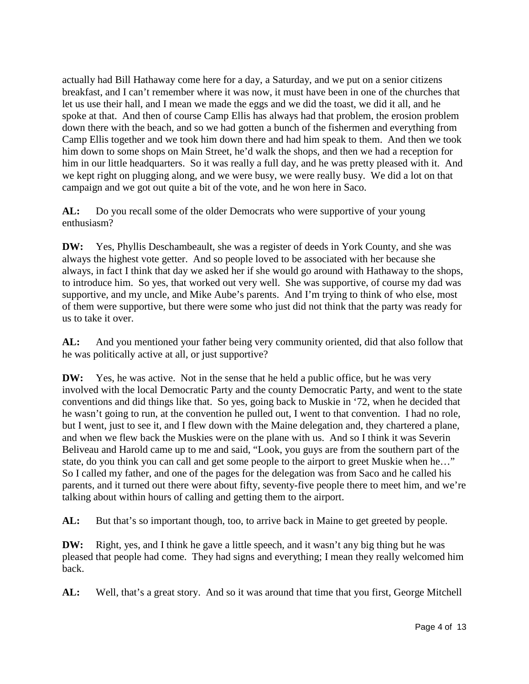actually had Bill Hathaway come here for a day, a Saturday, and we put on a senior citizens breakfast, and I can't remember where it was now, it must have been in one of the churches that let us use their hall, and I mean we made the eggs and we did the toast, we did it all, and he spoke at that. And then of course Camp Ellis has always had that problem, the erosion problem down there with the beach, and so we had gotten a bunch of the fishermen and everything from Camp Ellis together and we took him down there and had him speak to them. And then we took him down to some shops on Main Street, he'd walk the shops, and then we had a reception for him in our little headquarters. So it was really a full day, and he was pretty pleased with it. And we kept right on plugging along, and we were busy, we were really busy. We did a lot on that campaign and we got out quite a bit of the vote, and he won here in Saco.

**AL:** Do you recall some of the older Democrats who were supportive of your young enthusiasm?

**DW:** Yes, Phyllis Deschambeault, she was a register of deeds in York County, and she was always the highest vote getter. And so people loved to be associated with her because she always, in fact I think that day we asked her if she would go around with Hathaway to the shops, to introduce him. So yes, that worked out very well. She was supportive, of course my dad was supportive, and my uncle, and Mike Aube's parents. And I'm trying to think of who else, most of them were supportive, but there were some who just did not think that the party was ready for us to take it over.

**AL:** And you mentioned your father being very community oriented, did that also follow that he was politically active at all, or just supportive?

**DW:** Yes, he was active. Not in the sense that he held a public office, but he was very involved with the local Democratic Party and the county Democratic Party, and went to the state conventions and did things like that. So yes, going back to Muskie in '72, when he decided that he wasn't going to run, at the convention he pulled out, I went to that convention. I had no role, but I went, just to see it, and I flew down with the Maine delegation and, they chartered a plane, and when we flew back the Muskies were on the plane with us. And so I think it was Severin Beliveau and Harold came up to me and said, "Look, you guys are from the southern part of the state, do you think you can call and get some people to the airport to greet Muskie when he…" So I called my father, and one of the pages for the delegation was from Saco and he called his parents, and it turned out there were about fifty, seventy-five people there to meet him, and we're talking about within hours of calling and getting them to the airport.

AL: But that's so important though, too, to arrive back in Maine to get greeted by people.

**DW:** Right, yes, and I think he gave a little speech, and it wasn't any big thing but he was pleased that people had come. They had signs and everything; I mean they really welcomed him back.

**AL:** Well, that's a great story. And so it was around that time that you first, George Mitchell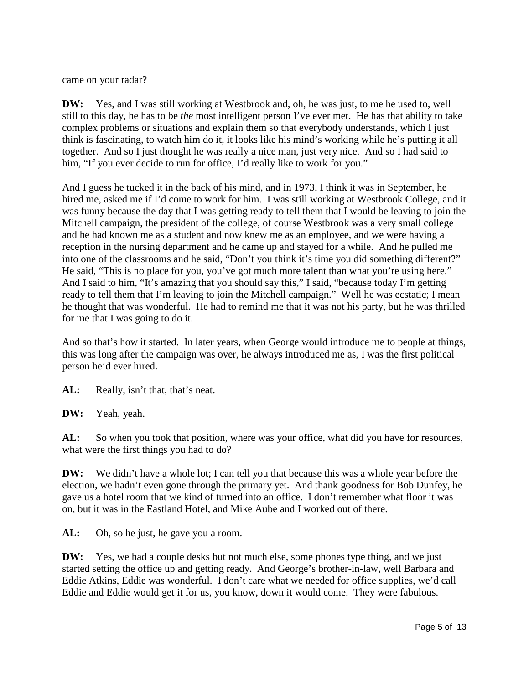came on your radar?

**DW:** Yes, and I was still working at Westbrook and, oh, he was just, to me he used to, well still to this day, he has to be *the* most intelligent person I've ever met. He has that ability to take complex problems or situations and explain them so that everybody understands, which I just think is fascinating, to watch him do it, it looks like his mind's working while he's putting it all together. And so I just thought he was really a nice man, just very nice. And so I had said to him, "If you ever decide to run for office, I'd really like to work for you."

And I guess he tucked it in the back of his mind, and in 1973, I think it was in September, he hired me, asked me if I'd come to work for him. I was still working at Westbrook College, and it was funny because the day that I was getting ready to tell them that I would be leaving to join the Mitchell campaign, the president of the college, of course Westbrook was a very small college and he had known me as a student and now knew me as an employee, and we were having a reception in the nursing department and he came up and stayed for a while. And he pulled me into one of the classrooms and he said, "Don't you think it's time you did something different?" He said, "This is no place for you, you've got much more talent than what you're using here." And I said to him, "It's amazing that you should say this," I said, "because today I'm getting ready to tell them that I'm leaving to join the Mitchell campaign." Well he was ecstatic; I mean he thought that was wonderful. He had to remind me that it was not his party, but he was thrilled for me that I was going to do it.

And so that's how it started. In later years, when George would introduce me to people at things, this was long after the campaign was over, he always introduced me as, I was the first political person he'd ever hired.

AL: Really, isn't that, that's neat.

**DW:** Yeah, yeah.

AL: So when you took that position, where was your office, what did you have for resources, what were the first things you had to do?

**DW:** We didn't have a whole lot; I can tell you that because this was a whole year before the election, we hadn't even gone through the primary yet. And thank goodness for Bob Dunfey, he gave us a hotel room that we kind of turned into an office. I don't remember what floor it was on, but it was in the Eastland Hotel, and Mike Aube and I worked out of there.

AL: Oh, so he just, he gave you a room.

**DW:** Yes, we had a couple desks but not much else, some phones type thing, and we just started setting the office up and getting ready. And George's brother-in-law, well Barbara and Eddie Atkins, Eddie was wonderful. I don't care what we needed for office supplies, we'd call Eddie and Eddie would get it for us, you know, down it would come. They were fabulous.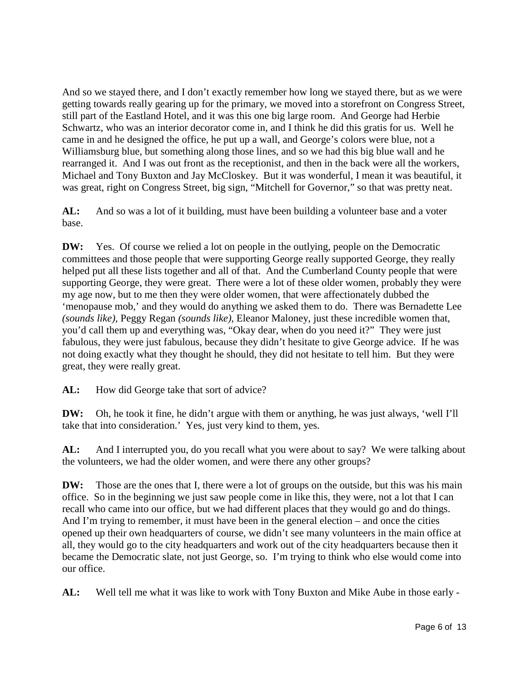And so we stayed there, and I don't exactly remember how long we stayed there, but as we were getting towards really gearing up for the primary, we moved into a storefront on Congress Street, still part of the Eastland Hotel, and it was this one big large room. And George had Herbie Schwartz, who was an interior decorator come in, and I think he did this gratis for us. Well he came in and he designed the office, he put up a wall, and George's colors were blue, not a Williamsburg blue, but something along those lines, and so we had this big blue wall and he rearranged it. And I was out front as the receptionist, and then in the back were all the workers, Michael and Tony Buxton and Jay McCloskey. But it was wonderful, I mean it was beautiful, it was great, right on Congress Street, big sign, "Mitchell for Governor," so that was pretty neat.

**AL:** And so was a lot of it building, must have been building a volunteer base and a voter base.

**DW:** Yes. Of course we relied a lot on people in the outlying, people on the Democratic committees and those people that were supporting George really supported George, they really helped put all these lists together and all of that. And the Cumberland County people that were supporting George, they were great. There were a lot of these older women, probably they were my age now, but to me then they were older women, that were affectionately dubbed the 'menopause mob,' and they would do anything we asked them to do. There was Bernadette Lee *(sounds like),* Peggy Regan *(sounds like)*, Eleanor Maloney, just these incredible women that, you'd call them up and everything was, "Okay dear, when do you need it?" They were just fabulous, they were just fabulous, because they didn't hesitate to give George advice. If he was not doing exactly what they thought he should, they did not hesitate to tell him. But they were great, they were really great.

AL: How did George take that sort of advice?

**DW:** Oh, he took it fine, he didn't argue with them or anything, he was just always, 'well I'll take that into consideration.' Yes, just very kind to them, yes.

**AL:** And I interrupted you, do you recall what you were about to say? We were talking about the volunteers, we had the older women, and were there any other groups?

**DW:** Those are the ones that I, there were a lot of groups on the outside, but this was his main office. So in the beginning we just saw people come in like this, they were, not a lot that I can recall who came into our office, but we had different places that they would go and do things. And I'm trying to remember, it must have been in the general election – and once the cities opened up their own headquarters of course, we didn't see many volunteers in the main office at all, they would go to the city headquarters and work out of the city headquarters because then it became the Democratic slate, not just George, so. I'm trying to think who else would come into our office.

**AL:** Well tell me what it was like to work with Tony Buxton and Mike Aube in those early -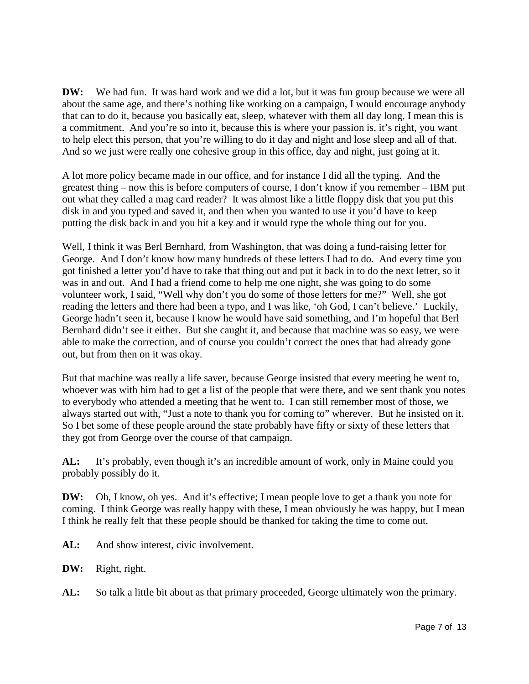**DW:** We had fun. It was hard work and we did a lot, but it was fun group because we were all about the same age, and there's nothing like working on a campaign, I would encourage anybody that can to do it, because you basically eat, sleep, whatever with them all day long, I mean this is a commitment. And you're so into it, because this is where your passion is, it's right, you want to help elect this person, that you're willing to do it day and night and lose sleep and all of that. And so we just were really one cohesive group in this office, day and night, just going at it.

A lot more policy became made in our office, and for instance I did all the typing. And the greatest thing – now this is before computers of course, I don't know if you remember – IBM put out what they called a mag card reader? It was almost like a little floppy disk that you put this disk in and you typed and saved it, and then when you wanted to use it you'd have to keep putting the disk back in and you hit a key and it would type the whole thing out for you.

Well, I think it was Berl Bernhard, from Washington, that was doing a fund-raising letter for George. And I don't know how many hundreds of these letters I had to do. And every time you got finished a letter you'd have to take that thing out and put it back in to do the next letter, so it was in and out. And I had a friend come to help me one night, she was going to do some volunteer work, I said, "Well why don't you do some of those letters for me?" Well, she got reading the letters and there had been a typo, and I was like, 'oh God, I can't believe.' Luckily, George hadn't seen it, because I know he would have said something, and I'm hopeful that Berl Bernhard didn't see it either. But she caught it, and because that machine was so easy, we were able to make the correction, and of course you couldn't correct the ones that had already gone out, but from then on it was okay.

But that machine was really a life saver, because George insisted that every meeting he went to, whoever was with him had to get a list of the people that were there, and we sent thank you notes to everybody who attended a meeting that he went to. I can still remember most of those, we always started out with, "Just a note to thank you for coming to" wherever. But he insisted on it. So I bet some of these people around the state probably have fifty or sixty of these letters that they got from George over the course of that campaign.

**AL:** It's probably, even though it's an incredible amount of work, only in Maine could you probably possibly do it.

**DW:** Oh, I know, oh yes. And it's effective; I mean people love to get a thank you note for coming. I think George was really happy with these, I mean obviously he was happy, but I mean I think he really felt that these people should be thanked for taking the time to come out.

AL: And show interest, civic involvement.

**DW:** Right, right.

AL: So talk a little bit about as that primary proceeded, George ultimately won the primary.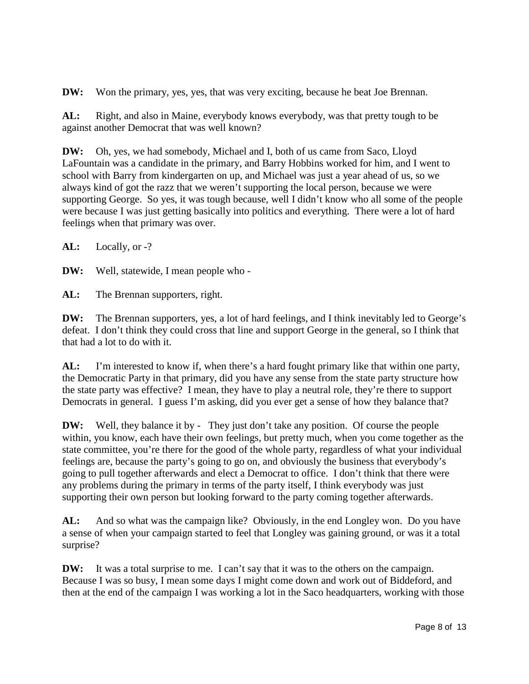**DW:** Won the primary, yes, yes, that was very exciting, because he beat Joe Brennan.

**AL:** Right, and also in Maine, everybody knows everybody, was that pretty tough to be against another Democrat that was well known?

**DW:** Oh, yes, we had somebody, Michael and I, both of us came from Saco, Lloyd LaFountain was a candidate in the primary, and Barry Hobbins worked for him, and I went to school with Barry from kindergarten on up, and Michael was just a year ahead of us, so we always kind of got the razz that we weren't supporting the local person, because we were supporting George. So yes, it was tough because, well I didn't know who all some of the people were because I was just getting basically into politics and everything. There were a lot of hard feelings when that primary was over.

**AL:** Locally, or -?

**DW:** Well, statewide, I mean people who -

AL: The Brennan supporters, right.

**DW:** The Brennan supporters, yes, a lot of hard feelings, and I think inevitably led to George's defeat. I don't think they could cross that line and support George in the general, so I think that that had a lot to do with it.

**AL:** I'm interested to know if, when there's a hard fought primary like that within one party, the Democratic Party in that primary, did you have any sense from the state party structure how the state party was effective? I mean, they have to play a neutral role, they're there to support Democrats in general. I guess I'm asking, did you ever get a sense of how they balance that?

**DW:** Well, they balance it by - They just don't take any position. Of course the people within, you know, each have their own feelings, but pretty much, when you come together as the state committee, you're there for the good of the whole party, regardless of what your individual feelings are, because the party's going to go on, and obviously the business that everybody's going to pull together afterwards and elect a Democrat to office. I don't think that there were any problems during the primary in terms of the party itself, I think everybody was just supporting their own person but looking forward to the party coming together afterwards.

**AL:** And so what was the campaign like? Obviously, in the end Longley won. Do you have a sense of when your campaign started to feel that Longley was gaining ground, or was it a total surprise?

**DW:** It was a total surprise to me. I can't say that it was to the others on the campaign. Because I was so busy, I mean some days I might come down and work out of Biddeford, and then at the end of the campaign I was working a lot in the Saco headquarters, working with those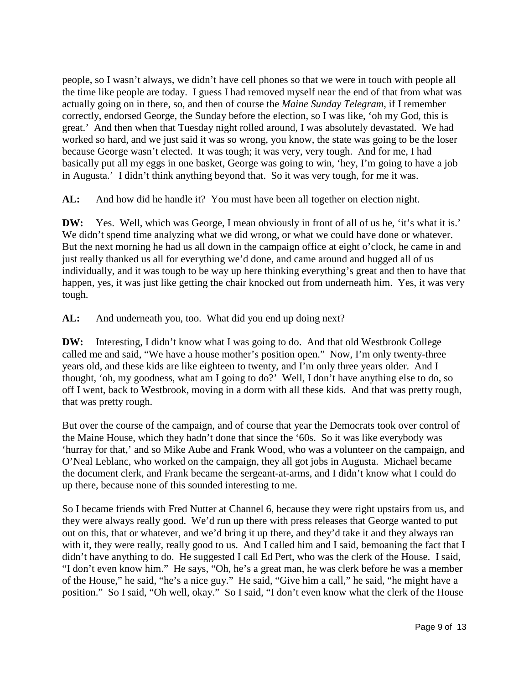people, so I wasn't always, we didn't have cell phones so that we were in touch with people all the time like people are today. I guess I had removed myself near the end of that from what was actually going on in there, so, and then of course the *Maine Sunday Telegram*, if I remember correctly, endorsed George, the Sunday before the election, so I was like, 'oh my God, this is great.' And then when that Tuesday night rolled around, I was absolutely devastated. We had worked so hard, and we just said it was so wrong, you know, the state was going to be the loser because George wasn't elected. It was tough; it was very, very tough. And for me, I had basically put all my eggs in one basket, George was going to win, 'hey, I'm going to have a job in Augusta.' I didn't think anything beyond that. So it was very tough, for me it was.

**AL:** And how did he handle it? You must have been all together on election night.

**DW:** Yes. Well, which was George, I mean obviously in front of all of us he, 'it's what it is.' We didn't spend time analyzing what we did wrong, or what we could have done or whatever. But the next morning he had us all down in the campaign office at eight o'clock, he came in and just really thanked us all for everything we'd done, and came around and hugged all of us individually, and it was tough to be way up here thinking everything's great and then to have that happen, yes, it was just like getting the chair knocked out from underneath him. Yes, it was very tough.

**AL:** And underneath you, too. What did you end up doing next?

**DW:** Interesting, I didn't know what I was going to do. And that old Westbrook College called me and said, "We have a house mother's position open." Now, I'm only twenty-three years old, and these kids are like eighteen to twenty, and I'm only three years older. And I thought, 'oh, my goodness, what am I going to do?' Well, I don't have anything else to do, so off I went, back to Westbrook, moving in a dorm with all these kids. And that was pretty rough, that was pretty rough.

But over the course of the campaign, and of course that year the Democrats took over control of the Maine House, which they hadn't done that since the '60s. So it was like everybody was 'hurray for that,' and so Mike Aube and Frank Wood, who was a volunteer on the campaign, and O'Neal Leblanc, who worked on the campaign, they all got jobs in Augusta. Michael became the document clerk, and Frank became the sergeant-at-arms, and I didn't know what I could do up there, because none of this sounded interesting to me.

So I became friends with Fred Nutter at Channel 6, because they were right upstairs from us, and they were always really good. We'd run up there with press releases that George wanted to put out on this, that or whatever, and we'd bring it up there, and they'd take it and they always ran with it, they were really, really good to us. And I called him and I said, bemoaning the fact that I didn't have anything to do. He suggested I call Ed Pert, who was the clerk of the House. I said, "I don't even know him." He says, "Oh, he's a great man, he was clerk before he was a member of the House," he said, "he's a nice guy." He said, "Give him a call," he said, "he might have a position." So I said, "Oh well, okay." So I said, "I don't even know what the clerk of the House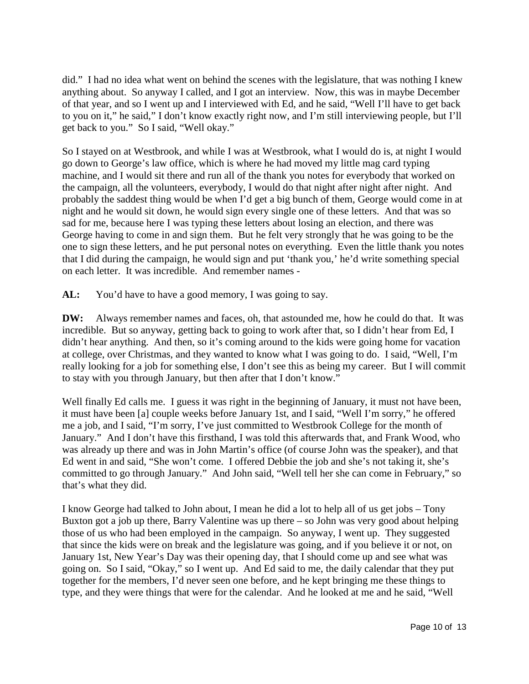did." I had no idea what went on behind the scenes with the legislature, that was nothing I knew anything about. So anyway I called, and I got an interview. Now, this was in maybe December of that year, and so I went up and I interviewed with Ed, and he said, "Well I'll have to get back to you on it," he said," I don't know exactly right now, and I'm still interviewing people, but I'll get back to you." So I said, "Well okay."

So I stayed on at Westbrook, and while I was at Westbrook, what I would do is, at night I would go down to George's law office, which is where he had moved my little mag card typing machine, and I would sit there and run all of the thank you notes for everybody that worked on the campaign, all the volunteers, everybody, I would do that night after night after night. And probably the saddest thing would be when I'd get a big bunch of them, George would come in at night and he would sit down, he would sign every single one of these letters. And that was so sad for me, because here I was typing these letters about losing an election, and there was George having to come in and sign them. But he felt very strongly that he was going to be the one to sign these letters, and he put personal notes on everything. Even the little thank you notes that I did during the campaign, he would sign and put 'thank you,' he'd write something special on each letter. It was incredible. And remember names -

AL: You'd have to have a good memory, I was going to say.

**DW:** Always remember names and faces, oh, that astounded me, how he could do that. It was incredible. But so anyway, getting back to going to work after that, so I didn't hear from Ed, I didn't hear anything. And then, so it's coming around to the kids were going home for vacation at college, over Christmas, and they wanted to know what I was going to do. I said, "Well, I'm really looking for a job for something else, I don't see this as being my career. But I will commit to stay with you through January, but then after that I don't know."

Well finally Ed calls me. I guess it was right in the beginning of January, it must not have been, it must have been [a] couple weeks before January 1st, and I said, "Well I'm sorry," he offered me a job, and I said, "I'm sorry, I've just committed to Westbrook College for the month of January." And I don't have this firsthand, I was told this afterwards that, and Frank Wood, who was already up there and was in John Martin's office (of course John was the speaker), and that Ed went in and said, "She won't come. I offered Debbie the job and she's not taking it, she's committed to go through January." And John said, "Well tell her she can come in February," so that's what they did.

I know George had talked to John about, I mean he did a lot to help all of us get jobs – Tony Buxton got a job up there, Barry Valentine was up there – so John was very good about helping those of us who had been employed in the campaign. So anyway, I went up. They suggested that since the kids were on break and the legislature was going, and if you believe it or not, on January 1st, New Year's Day was their opening day, that I should come up and see what was going on. So I said, "Okay," so I went up. And Ed said to me, the daily calendar that they put together for the members, I'd never seen one before, and he kept bringing me these things to type, and they were things that were for the calendar. And he looked at me and he said, "Well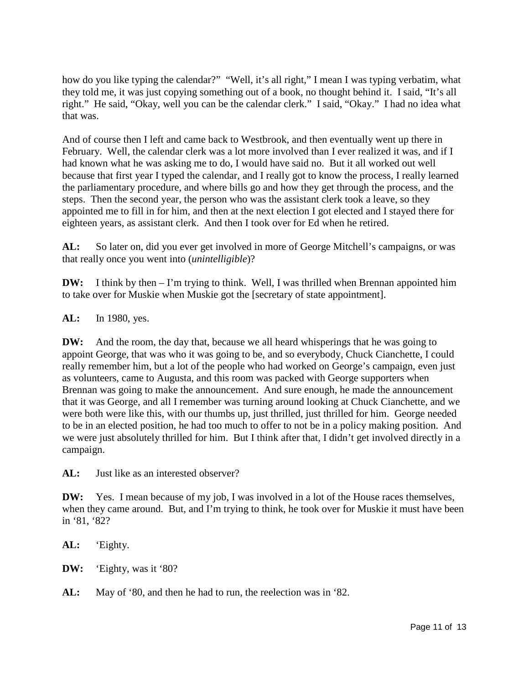how do you like typing the calendar?" "Well, it's all right," I mean I was typing verbatim, what they told me, it was just copying something out of a book, no thought behind it. I said, "It's all right." He said, "Okay, well you can be the calendar clerk." I said, "Okay." I had no idea what that was.

And of course then I left and came back to Westbrook, and then eventually went up there in February. Well, the calendar clerk was a lot more involved than I ever realized it was, and if I had known what he was asking me to do, I would have said no. But it all worked out well because that first year I typed the calendar, and I really got to know the process, I really learned the parliamentary procedure, and where bills go and how they get through the process, and the steps. Then the second year, the person who was the assistant clerk took a leave, so they appointed me to fill in for him, and then at the next election I got elected and I stayed there for eighteen years, as assistant clerk. And then I took over for Ed when he retired.

**AL:** So later on, did you ever get involved in more of George Mitchell's campaigns, or was that really once you went into (*unintelligible*)?

**DW:** I think by then – I'm trying to think. Well, I was thrilled when Brennan appointed him to take over for Muskie when Muskie got the [secretary of state appointment].

**AL:** In 1980, yes.

**DW:** And the room, the day that, because we all heard whisperings that he was going to appoint George, that was who it was going to be, and so everybody, Chuck Cianchette, I could really remember him, but a lot of the people who had worked on George's campaign, even just as volunteers, came to Augusta, and this room was packed with George supporters when Brennan was going to make the announcement. And sure enough, he made the announcement that it was George, and all I remember was turning around looking at Chuck Cianchette, and we were both were like this, with our thumbs up, just thrilled, just thrilled for him. George needed to be in an elected position, he had too much to offer to not be in a policy making position. And we were just absolutely thrilled for him. But I think after that, I didn't get involved directly in a campaign.

**AL:** Just like as an interested observer?

**DW:** Yes. I mean because of my job, I was involved in a lot of the House races themselves, when they came around. But, and I'm trying to think, he took over for Muskie it must have been in '81, '82?

**AL:** 'Eighty.

**DW:** 'Eighty, was it '80?

**AL:** May of '80, and then he had to run, the reelection was in '82.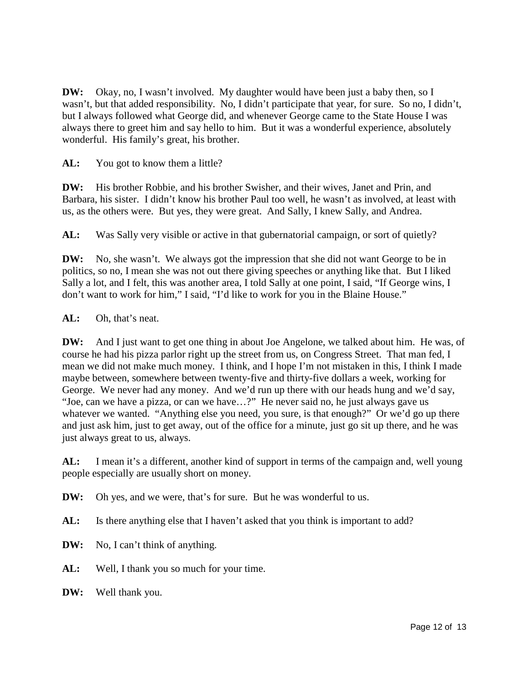**DW:** Okay, no, I wasn't involved. My daughter would have been just a baby then, so I wasn't, but that added responsibility. No, I didn't participate that year, for sure. So no, I didn't, but I always followed what George did, and whenever George came to the State House I was always there to greet him and say hello to him. But it was a wonderful experience, absolutely wonderful. His family's great, his brother.

AL: You got to know them a little?

**DW:** His brother Robbie, and his brother Swisher, and their wives, Janet and Prin, and Barbara, his sister. I didn't know his brother Paul too well, he wasn't as involved, at least with us, as the others were. But yes, they were great. And Sally, I knew Sally, and Andrea.

AL: Was Sally very visible or active in that gubernatorial campaign, or sort of quietly?

**DW:** No, she wasn't. We always got the impression that she did not want George to be in politics, so no, I mean she was not out there giving speeches or anything like that. But I liked Sally a lot, and I felt, this was another area, I told Sally at one point, I said, "If George wins, I don't want to work for him," I said, "I'd like to work for you in the Blaine House."

### **AL:** Oh, that's neat.

**DW:** And I just want to get one thing in about Joe Angelone, we talked about him. He was, of course he had his pizza parlor right up the street from us, on Congress Street. That man fed, I mean we did not make much money. I think, and I hope I'm not mistaken in this, I think I made maybe between, somewhere between twenty-five and thirty-five dollars a week, working for George. We never had any money. And we'd run up there with our heads hung and we'd say, "Joe, can we have a pizza, or can we have…?" He never said no, he just always gave us whatever we wanted. "Anything else you need, you sure, is that enough?" Or we'd go up there and just ask him, just to get away, out of the office for a minute, just go sit up there, and he was just always great to us, always.

**AL:** I mean it's a different, another kind of support in terms of the campaign and, well young people especially are usually short on money.

**DW:** Oh yes, and we were, that's for sure. But he was wonderful to us.

AL: Is there anything else that I haven't asked that you think is important to add?

**DW:** No, I can't think of anything.

**AL:** Well, I thank you so much for your time.

**DW:** Well thank you.